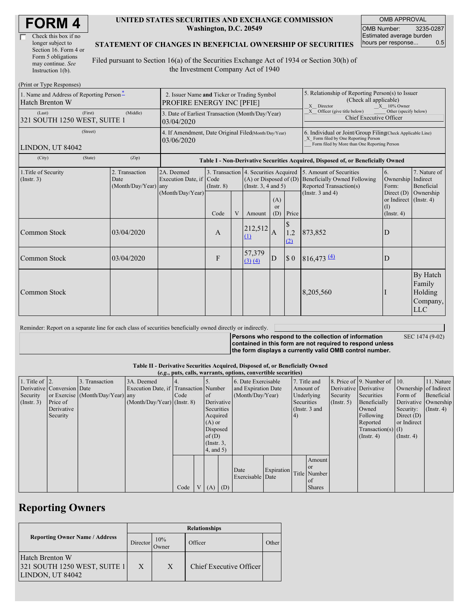| Check this box if no  |
|-----------------------|
| longer subject to     |
| Section 16. Form 4 or |
| Form 5 obligations    |
| may continue. See     |
| Instruction 1(b).     |

 $(D_{\text{rint}} \text{ or } \text{T} \text{ and } \text{Do}$ 

#### **UNITED STATES SECURITIES AND EXCHANGE COMMISSION Washington, D.C. 20549**

OMB APPROVAL OMB Number: 3235-0287 Estimated average burden hours per response... 0.5

#### **STATEMENT OF CHANGES IN BENEFICIAL OWNERSHIP OF SECURITIES**

Filed pursuant to Section 16(a) of the Securities Exchange Act of 1934 or Section 30(h) of the Investment Company Act of 1940

| $\pm 1$ int of $\pm y$ pc in exponses<br>1. Name and Address of Reporting Person-<br><b>Hatch Brenton W</b> | 2. Issuer Name and Ticker or Trading Symbol<br>PROFIRE ENERGY INC [PFIE] |                                                                                  |                 |   |                                                                                                                         |                        | 5. Relationship of Reporting Person(s) to Issuer<br>(Check all applicable)<br>X Director<br>$X = 10\%$ Owner                                       |                                                                |                                                                   |                                                         |
|-------------------------------------------------------------------------------------------------------------|--------------------------------------------------------------------------|----------------------------------------------------------------------------------|-----------------|---|-------------------------------------------------------------------------------------------------------------------------|------------------------|----------------------------------------------------------------------------------------------------------------------------------------------------|----------------------------------------------------------------|-------------------------------------------------------------------|---------------------------------------------------------|
| (First)<br>(Last)<br>321 SOUTH 1250 WEST, SUITE 1                                                           | 3. Date of Earliest Transaction (Month/Day/Year)<br>03/04/2020           |                                                                                  |                 |   |                                                                                                                         |                        | X Officer (give title below)<br>Other (specify below)<br><b>Chief Executive Officer</b>                                                            |                                                                |                                                                   |                                                         |
| (Street)<br>LINDON, UT 84042                                                                                | 4. If Amendment, Date Original Filed(Month/Day/Year)<br>03/06/2020       |                                                                                  |                 |   |                                                                                                                         |                        | 6. Individual or Joint/Group Filing(Check Applicable Line)<br>X Form filed by One Reporting Person<br>Form filed by More than One Reporting Person |                                                                |                                                                   |                                                         |
| (State)<br>(City)                                                                                           | (Zip)                                                                    | Table I - Non-Derivative Securities Acquired, Disposed of, or Beneficially Owned |                 |   |                                                                                                                         |                        |                                                                                                                                                    |                                                                |                                                                   |                                                         |
| 1. Title of Security<br>(Insert. 3)                                                                         | 2. Transaction<br>Date<br>(Month/Day/Year) any                           | 2A. Deemed<br>Execution Date, if Code<br>(Month/Day/Year)                        | $($ Instr. $8)$ |   | 3. Transaction 4. Securities Acquired 5. Amount of Securities<br>$(A)$ or Disposed of $(D)$<br>(Instr. $3, 4$ and $5$ ) |                        |                                                                                                                                                    | <b>Beneficially Owned Following</b><br>Reported Transaction(s) | 6.<br>Ownership Indirect<br>Form:                                 | 7. Nature of<br>Beneficial                              |
|                                                                                                             |                                                                          |                                                                                  | Code            | V | Amount                                                                                                                  | (A)<br>$\alpha$<br>(D) | Price                                                                                                                                              | (Instr. $3$ and $4$ )                                          | Direct $(D)$<br>or Indirect (Instr. 4)<br>(I)<br>$($ Instr. 4 $)$ | Ownership                                               |
| Common Stock                                                                                                | 03/04/2020                                                               |                                                                                  | A               |   | 212,512<br>(1)                                                                                                          | $\overline{A}$         | \$<br>1.2<br>(2)                                                                                                                                   | 873,852                                                        | D                                                                 |                                                         |
| Common Stock                                                                                                | 03/04/2020                                                               |                                                                                  | F               |   | 57,379<br>(3) (4)                                                                                                       | ID                     | $\sqrt{ }$                                                                                                                                         | $816,473 \frac{(4)}{2}$                                        | D                                                                 |                                                         |
| Common Stock                                                                                                |                                                                          |                                                                                  |                 |   |                                                                                                                         |                        |                                                                                                                                                    | 8,205,560                                                      |                                                                   | By Hatch<br>Family<br>Holding<br>Company,<br><b>LLC</b> |

Reminder: Report on a separate line for each class of securities beneficially owned directly or indirectly.

**Persons who respond to the collection of information**

SEC 1474 (9-02)

**contained in this form are not required to respond unless the form displays a currently valid OMB control number.**

### **Table II - Derivative Securities Acquired, Disposed of, or Beneficially Owned**

|                        | (e.g., puts, calls, warrants, options, convertible securities) |                                  |                                       |      |  |                 |     |                          |            |            |               |               |                              |                       |               |
|------------------------|----------------------------------------------------------------|----------------------------------|---------------------------------------|------|--|-----------------|-----|--------------------------|------------|------------|---------------|---------------|------------------------------|-----------------------|---------------|
| 1. Title of $\vert$ 2. |                                                                | Transaction                      | 3A. Deemed                            |      |  |                 |     | 6. Date Exercisable      |            |            | 7. Title and  |               | 8. Price of 9. Number of 10. |                       | 11. Nature    |
|                        | Derivative Conversion Date                                     |                                  | Execution Date, if Transaction Number |      |  |                 |     | and Expiration Date      |            | Amount of  |               |               | Derivative Derivative        | Ownership of Indirect |               |
| Security               |                                                                | or Exercise (Month/Day/Year) any |                                       | Code |  | of              |     | (Month/Day/Year)         |            |            | Underlying    | Security      | Securities                   | Form of               | Beneficial    |
| $($ Instr. 3 $)$       | Price of                                                       |                                  | $(Month/Day/Year)$ (Instr. 8)         |      |  | Derivative      |     |                          |            | Securities |               | $($ Instr. 5) | Beneficially                 | Derivative Ownership  |               |
|                        | Derivative                                                     |                                  |                                       |      |  | Securities      |     |                          |            |            | (Instr. 3 and |               | Owned                        | Security:             | $($ Instr. 4) |
|                        | Security                                                       |                                  |                                       |      |  | Acquired        |     |                          |            | 4)         |               |               | Following                    | Direct $(D)$          |               |
|                        |                                                                |                                  |                                       |      |  | $(A)$ or        |     |                          |            |            |               |               | Reported                     | or Indirect           |               |
|                        |                                                                |                                  |                                       |      |  | Disposed        |     |                          |            |            |               |               | Transaction(s) $(I)$         |                       |               |
|                        |                                                                |                                  |                                       |      |  | of $(D)$        |     |                          |            |            |               |               | $($ Instr. 4 $)$             | $($ Instr. 4 $)$      |               |
|                        |                                                                |                                  |                                       |      |  | $($ Instr. 3,   |     |                          |            |            |               |               |                              |                       |               |
|                        |                                                                |                                  |                                       |      |  | $4$ , and $5$ ) |     |                          |            |            |               |               |                              |                       |               |
|                        |                                                                |                                  |                                       |      |  |                 |     |                          |            |            | Amount        |               |                              |                       |               |
|                        |                                                                |                                  |                                       |      |  |                 |     |                          |            |            | <sub>or</sub> |               |                              |                       |               |
|                        |                                                                |                                  |                                       |      |  |                 |     | Date<br>Exercisable Date | Expiration |            | Title Number  |               |                              |                       |               |
|                        |                                                                |                                  |                                       |      |  |                 |     |                          |            |            | l of          |               |                              |                       |               |
|                        |                                                                |                                  |                                       | Code |  | (A)             | (D) |                          |            |            | <b>Shares</b> |               |                              |                       |               |
|                        |                                                                |                                  |                                       |      |  |                 |     |                          |            |            |               |               |                              |                       |               |

## **Reporting Owners**

|                                                                            | <b>Relationships</b> |              |                         |       |  |  |  |  |
|----------------------------------------------------------------------------|----------------------|--------------|-------------------------|-------|--|--|--|--|
| <b>Reporting Owner Name / Address</b>                                      | Director             | 10%<br>Owner | Officer                 | Other |  |  |  |  |
| <b>Hatch Brenton W</b><br>321 SOUTH 1250 WEST, SUITE 1<br>LINDON, UT 84042 | X                    | X            | Chief Executive Officer |       |  |  |  |  |